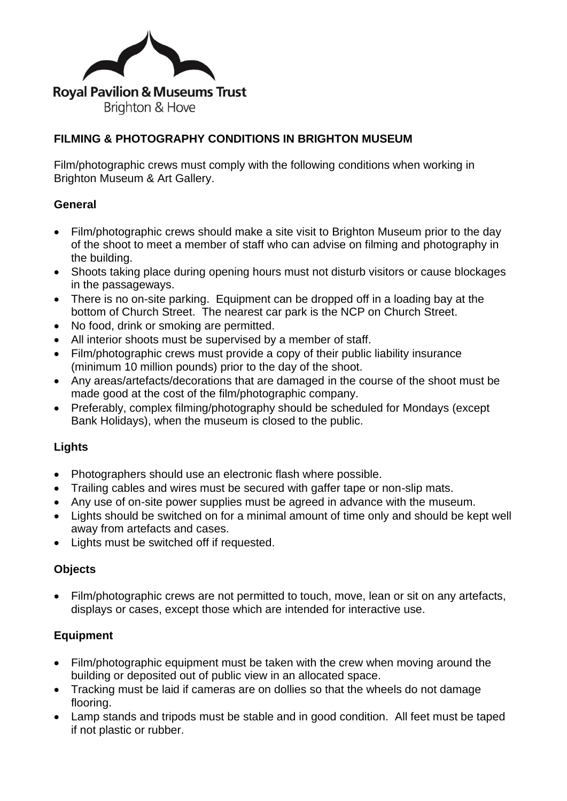

# **FILMING & PHOTOGRAPHY CONDITIONS IN BRIGHTON MUSEUM**

Film/photographic crews must comply with the following conditions when working in Brighton Museum & Art Gallery.

# **General**

- Film/photographic crews should make a site visit to Brighton Museum prior to the day of the shoot to meet a member of staff who can advise on filming and photography in the building.
- Shoots taking place during opening hours must not disturb visitors or cause blockages in the passageways.
- There is no on-site parking. Equipment can be dropped off in a loading bay at the bottom of Church Street. The nearest car park is the NCP on Church Street.
- No food, drink or smoking are permitted.
- All interior shoots must be supervised by a member of staff.
- Film/photographic crews must provide a copy of their public liability insurance (minimum 10 million pounds) prior to the day of the shoot.
- Any areas/artefacts/decorations that are damaged in the course of the shoot must be made good at the cost of the film/photographic company.
- Preferably, complex filming/photography should be scheduled for Mondays (except Bank Holidays), when the museum is closed to the public.

## **Lights**

- Photographers should use an electronic flash where possible.
- Trailing cables and wires must be secured with gaffer tape or non-slip mats.
- Any use of on-site power supplies must be agreed in advance with the museum.
- Lights should be switched on for a minimal amount of time only and should be kept well away from artefacts and cases.
- Lights must be switched off if requested.

#### **Objects**

• Film/photographic crews are not permitted to touch, move, lean or sit on any artefacts, displays or cases, except those which are intended for interactive use.

## **Equipment**

- Film/photographic equipment must be taken with the crew when moving around the building or deposited out of public view in an allocated space.
- Tracking must be laid if cameras are on dollies so that the wheels do not damage flooring.
- Lamp stands and tripods must be stable and in good condition. All feet must be taped if not plastic or rubber.